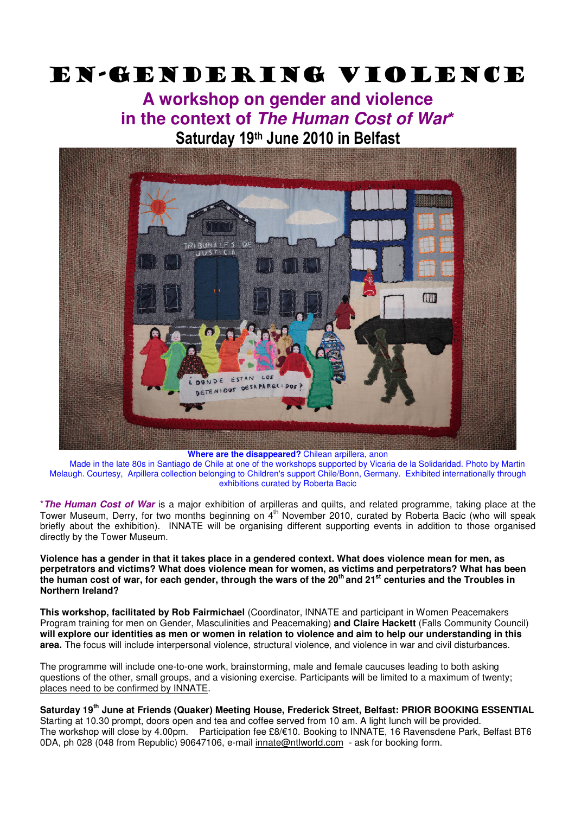## En-gendering violence

## **A workshop on gender and violence in the context of The Human Cost of War\***  Saturday 19th June 2010 in Belfast



**Where are the disappeared?** Chilean arpillera, anon

 Made in the late 80s in Santiago de Chile at one of the workshops supported by Vicaria de la Solidaridad. Photo by Martin Melaugh. Courtesy, Arpillera collection belonging to Children's support Chile/Bonn, Germany. Exhibited internationally through exhibitions curated by Roberta Bacic

\***The Human Cost of War** is a major exhibition of arpilleras and quilts, and related programme, taking place at the Tower Museum, Derry, for two months beginning on 4<sup>th</sup> November 2010, curated by Roberta Bacic (who will speak briefly about the exhibition). INNATE will be organising different supporting events in addition to those organised directly by the Tower Museum.

**Violence has a gender in that it takes place in a gendered context. What does violence mean for men, as perpetrators and victims? What does violence mean for women, as victims and perpetrators? What has been the human cost of war, for each gender, through the wars of the 20th and 21st centuries and the Troubles in Northern Ireland?** 

**This workshop, facilitated by Rob Fairmichael** (Coordinator, INNATE and participant in Women Peacemakers Program training for men on Gender, Masculinities and Peacemaking) **and Claire Hackett** (Falls Community Council) **will explore our identities as men or women in relation to violence and aim to help our understanding in this area.** The focus will include interpersonal violence, structural violence, and violence in war and civil disturbances.

The programme will include one-to-one work, brainstorming, male and female caucuses leading to both asking questions of the other, small groups, and a visioning exercise. Participants will be limited to a maximum of twenty; places need to be confirmed by INNATE.

**Saturday 19th June at Friends (Quaker) Meeting House, Frederick Street, Belfast: PRIOR BOOKING ESSENTIAL**  Starting at 10.30 prompt, doors open and tea and coffee served from 10 am. A light lunch will be provided. The workshop will close by 4.00pm. Participation fee £8/€10. Booking to INNATE, 16 Ravensdene Park, Belfast BT6 0DA, ph 028 (048 from Republic) 90647106, e-mail innate@ntlworld.com - ask for booking form.